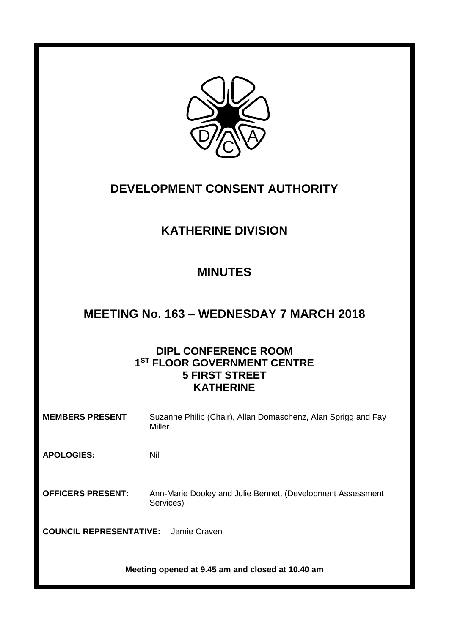

# **DEVELOPMENT CONSENT AUTHORITY**

# **KATHERINE DIVISION**

# **MINUTES**

# **MEETING No. 163 – WEDNESDAY 7 MARCH 2018**

# **DIPL CONFERENCE ROOM 1 ST FLOOR GOVERNMENT CENTRE 5 FIRST STREET KATHERINE**

| <b>MEMBERS PRESENT</b>                         | Suzanne Philip (Chair), Allan Domaschenz, Alan Sprigg and Fay<br>Miller |
|------------------------------------------------|-------------------------------------------------------------------------|
| <b>APOLOGIES:</b>                              | Nil                                                                     |
| <b>OFFICERS PRESENT:</b>                       | Ann-Marie Dooley and Julie Bennett (Development Assessment<br>Services) |
| <b>COUNCIL REPRESENTATIVE:</b><br>Jamie Craven |                                                                         |

**Meeting opened at 9.45 am and closed at 10.40 am**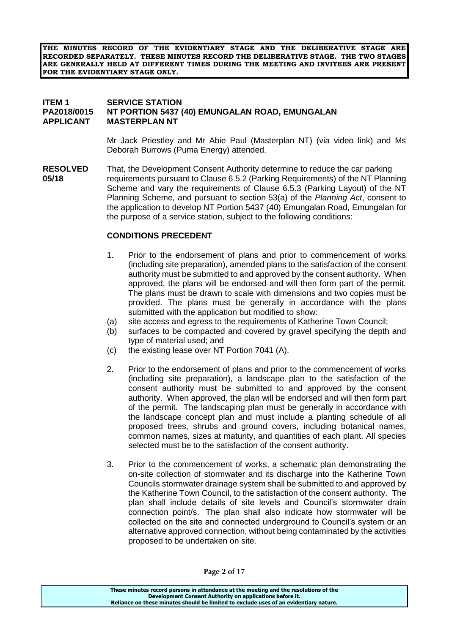**THE MINUTES RECORD OF THE EVIDENTIARY STAGE AND THE DELIBERATIVE STAGE ARE RECORDED SEPARATELY. THESE MINUTES RECORD THE DELIBERATIVE STAGE. THE TWO STAGES ARE GENERALLY HELD AT DIFFERENT TIMES DURING THE MEETING AND INVITEES ARE PRESENT FOR THE EVIDENTIARY STAGE ONLY.**

#### **ITEM 1 SERVICE STATION PA2018/0015 NT PORTION 5437 (40) EMUNGALAN ROAD, EMUNGALAN APPLICANT MASTERPLAN NT**

Mr Jack Priestley and Mr Abie Paul (Masterplan NT) (via video link) and Ms Deborah Burrows (Puma Energy) attended.

**RESOLVED** That, the Development Consent Authority determine to reduce the car parking **05/18** requirements pursuant to Clause 6.5.2 (Parking Requirements) of the NT Planning Scheme and vary the requirements of Clause 6.5.3 (Parking Layout) of the NT Planning Scheme, and pursuant to section 53(a) of the *Planning Act*, consent to the application to develop NT Portion 5437 (40) Emungalan Road, Emungalan for the purpose of a service station, subject to the following conditions:

#### **CONDITIONS PRECEDENT**

- 1. Prior to the endorsement of plans and prior to commencement of works (including site preparation), amended plans to the satisfaction of the consent authority must be submitted to and approved by the consent authority. When approved, the plans will be endorsed and will then form part of the permit. The plans must be drawn to scale with dimensions and two copies must be provided. The plans must be generally in accordance with the plans submitted with the application but modified to show:
- (a) site access and egress to the requirements of Katherine Town Council;
- (b) surfaces to be compacted and covered by gravel specifying the depth and type of material used; and
- (c) the existing lease over NT Portion 7041 (A).
- 2. Prior to the endorsement of plans and prior to the commencement of works (including site preparation), a landscape plan to the satisfaction of the consent authority must be submitted to and approved by the consent authority. When approved, the plan will be endorsed and will then form part of the permit. The landscaping plan must be generally in accordance with the landscape concept plan and must include a planting schedule of all proposed trees, shrubs and ground covers, including botanical names, common names, sizes at maturity, and quantities of each plant. All species selected must be to the satisfaction of the consent authority.
- 3. Prior to the commencement of works, a schematic plan demonstrating the on-site collection of stormwater and its discharge into the Katherine Town Councils stormwater drainage system shall be submitted to and approved by the Katherine Town Council, to the satisfaction of the consent authority. The plan shall include details of site levels and Council's stormwater drain connection point/s. The plan shall also indicate how stormwater will be collected on the site and connected underground to Council's system or an alternative approved connection, without being contaminated by the activities proposed to be undertaken on site.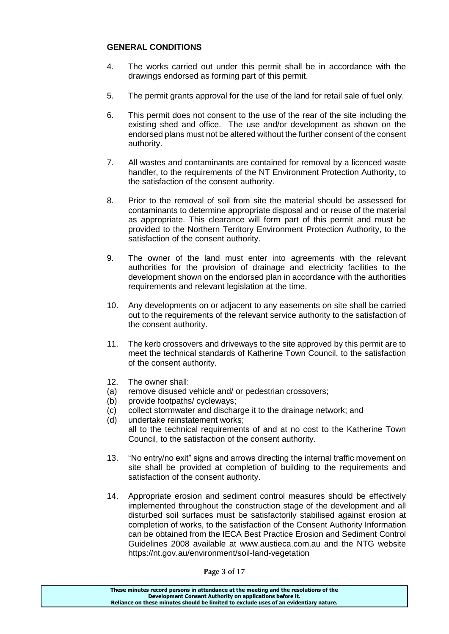### **GENERAL CONDITIONS**

- 4. The works carried out under this permit shall be in accordance with the drawings endorsed as forming part of this permit.
- 5. The permit grants approval for the use of the land for retail sale of fuel only.
- 6. This permit does not consent to the use of the rear of the site including the existing shed and office. The use and/or development as shown on the endorsed plans must not be altered without the further consent of the consent authority.
- 7. All wastes and contaminants are contained for removal by a licenced waste handler, to the requirements of the NT Environment Protection Authority, to the satisfaction of the consent authority.
- 8. Prior to the removal of soil from site the material should be assessed for contaminants to determine appropriate disposal and or reuse of the material as appropriate. This clearance will form part of this permit and must be provided to the Northern Territory Environment Protection Authority, to the satisfaction of the consent authority.
- 9. The owner of the land must enter into agreements with the relevant authorities for the provision of drainage and electricity facilities to the development shown on the endorsed plan in accordance with the authorities requirements and relevant legislation at the time.
- 10. Any developments on or adjacent to any easements on site shall be carried out to the requirements of the relevant service authority to the satisfaction of the consent authority.
- 11. The kerb crossovers and driveways to the site approved by this permit are to meet the technical standards of Katherine Town Council, to the satisfaction of the consent authority.
- 12. The owner shall:
- (a) remove disused vehicle and/ or pedestrian crossovers;
- (b) provide footpaths/ cycleways;
- (c) collect stormwater and discharge it to the drainage network; and
- (d) undertake reinstatement works; all to the technical requirements of and at no cost to the Katherine Town Council, to the satisfaction of the consent authority.
- 13. "No entry/no exit" signs and arrows directing the internal traffic movement on site shall be provided at completion of building to the requirements and satisfaction of the consent authority.
- 14. Appropriate erosion and sediment control measures should be effectively implemented throughout the construction stage of the development and all disturbed soil surfaces must be satisfactorily stabilised against erosion at completion of works, to the satisfaction of the Consent Authority Information can be obtained from the IECA Best Practice Erosion and Sediment Control Guidelines 2008 available at www.austieca.com.au and the NTG website <https://nt.gov.au/environment/soil-land-vegetation>

**Page 3 of 17**

**These minutes record persons in attendance at the meeting and the resolutions of the Development Consent Authority on applications before it. Reliance on these minutes should be limited to exclude uses of an evidentiary nature.**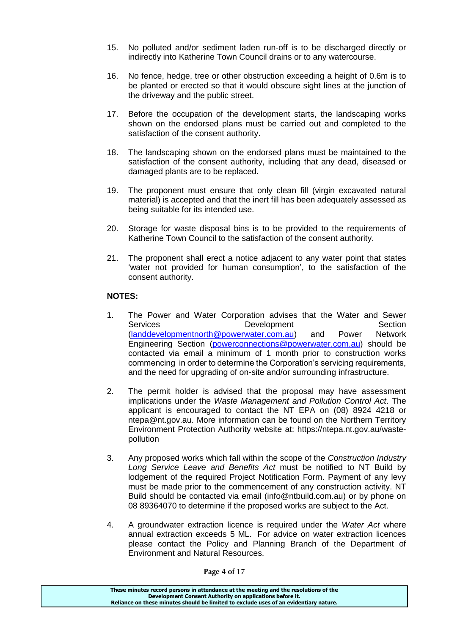- 15. No polluted and/or sediment laden run-off is to be discharged directly or indirectly into Katherine Town Council drains or to any watercourse.
- 16. No fence, hedge, tree or other obstruction exceeding a height of 0.6m is to be planted or erected so that it would obscure sight lines at the junction of the driveway and the public street.
- 17. Before the occupation of the development starts, the landscaping works shown on the endorsed plans must be carried out and completed to the satisfaction of the consent authority.
- 18. The landscaping shown on the endorsed plans must be maintained to the satisfaction of the consent authority, including that any dead, diseased or damaged plants are to be replaced.
- 19. The proponent must ensure that only clean fill (virgin excavated natural material) is accepted and that the inert fill has been adequately assessed as being suitable for its intended use.
- 20. Storage for waste disposal bins is to be provided to the requirements of Katherine Town Council to the satisfaction of the consent authority.
- 21. The proponent shall erect a notice adjacent to any water point that states 'water not provided for human consumption', to the satisfaction of the consent authority.

### **NOTES:**

- 1. The Power and Water Corporation advises that the Water and Sewer Services Development Section [\(landdevelopmentnorth@powerwater.com.au\)](mailto:landdevelopmentnorth@powerwater.com.au) and Power Network Engineering Section [\(powerconnections@powerwater.com.au\)](mailto:powerconnections@powerwater.com.au) should be contacted via email a minimum of 1 month prior to construction works commencing in order to determine the Corporation's servicing requirements, and the need for upgrading of on-site and/or surrounding infrastructure.
- 2. The permit holder is advised that the proposal may have assessment implications under the *Waste Management and Pollution Control Act*. The applicant is encouraged to contact the NT EPA on (08) 8924 4218 or ntepa@nt.gov.au. More information can be found on the Northern Territory Environment Protection Authority website at: [https://ntepa.nt.gov.au/waste](https://ntepa.nt.gov.au/waste-pollution)[pollution](https://ntepa.nt.gov.au/waste-pollution)
- 3. Any proposed works which fall within the scope of the *Construction Industry Long Service Leave and Benefits Act* must be notified to NT Build by lodgement of the required Project Notification Form. Payment of any levy must be made prior to the commencement of any construction activity. NT Build should be contacted via email (info@ntbuild.com.au) or by phone on 08 89364070 to determine if the proposed works are subject to the Act.
- 4. A groundwater extraction licence is required under the *Water Act* where annual extraction exceeds 5 ML. For advice on water extraction licences please contact the Policy and Planning Branch of the Department of Environment and Natural Resources.

**Page 4 of 17**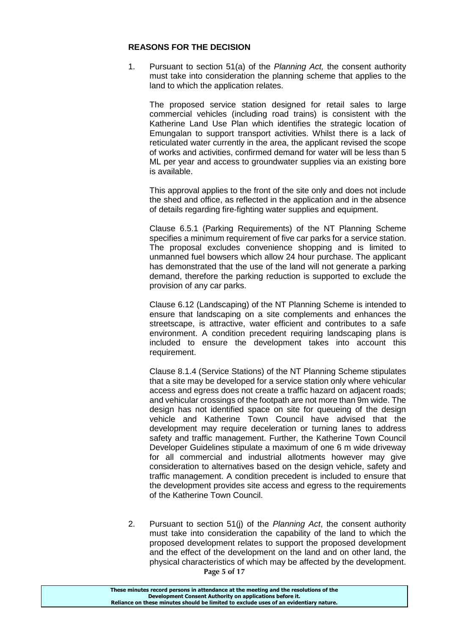#### **REASONS FOR THE DECISION**

1. Pursuant to section 51(a) of the *Planning Act,* the consent authority must take into consideration the planning scheme that applies to the land to which the application relates.

The proposed service station designed for retail sales to large commercial vehicles (including road trains) is consistent with the Katherine Land Use Plan which identifies the strategic location of Emungalan to support transport activities. Whilst there is a lack of reticulated water currently in the area, the applicant revised the scope of works and activities, confirmed demand for water will be less than 5 ML per year and access to groundwater supplies via an existing bore is available.

This approval applies to the front of the site only and does not include the shed and office, as reflected in the application and in the absence of details regarding fire-fighting water supplies and equipment.

Clause 6.5.1 (Parking Requirements) of the NT Planning Scheme specifies a minimum requirement of five car parks for a service station. The proposal excludes convenience shopping and is limited to unmanned fuel bowsers which allow 24 hour purchase. The applicant has demonstrated that the use of the land will not generate a parking demand, therefore the parking reduction is supported to exclude the provision of any car parks.

Clause 6.12 (Landscaping) of the NT Planning Scheme is intended to ensure that landscaping on a site complements and enhances the streetscape, is attractive, water efficient and contributes to a safe environment. A condition precedent requiring landscaping plans is included to ensure the development takes into account this requirement.

Clause 8.1.4 (Service Stations) of the NT Planning Scheme stipulates that a site may be developed for a service station only where vehicular access and egress does not create a traffic hazard on adjacent roads; and vehicular crossings of the footpath are not more than 9m wide. The design has not identified space on site for queueing of the design vehicle and Katherine Town Council have advised that the development may require deceleration or turning lanes to address safety and traffic management. Further, the Katherine Town Council Developer Guidelines stipulate a maximum of one 6 m wide driveway for all commercial and industrial allotments however may give consideration to alternatives based on the design vehicle, safety and traffic management. A condition precedent is included to ensure that the development provides site access and egress to the requirements of the Katherine Town Council.

**Page 5 of 17** 2. Pursuant to section 51(j) of the *Planning Act*, the consent authority must take into consideration the capability of the land to which the proposed development relates to support the proposed development and the effect of the development on the land and on other land, the physical characteristics of which may be affected by the development.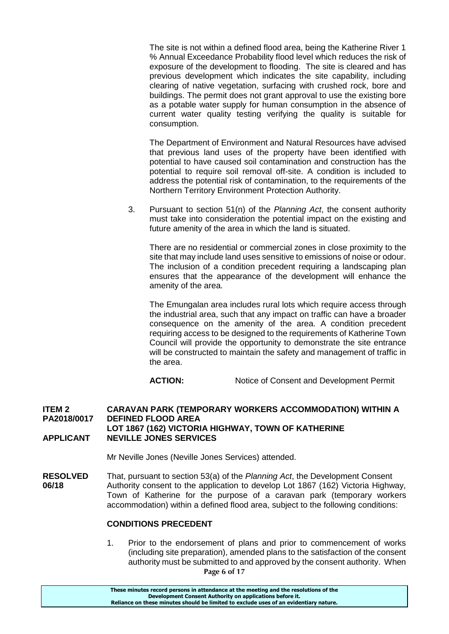The site is not within a defined flood area, being the Katherine River 1 % Annual Exceedance Probability flood level which reduces the risk of exposure of the development to flooding. The site is cleared and has previous development which indicates the site capability, including clearing of native vegetation, surfacing with crushed rock, bore and buildings. The permit does not grant approval to use the existing bore as a potable water supply for human consumption in the absence of current water quality testing verifying the quality is suitable for consumption.

The Department of Environment and Natural Resources have advised that previous land uses of the property have been identified with potential to have caused soil contamination and construction has the potential to require soil removal off-site. A condition is included to address the potential risk of contamination, to the requirements of the Northern Territory Environment Protection Authority.

3. Pursuant to section 51(n) of the *Planning Act*, the consent authority must take into consideration the potential impact on the existing and future amenity of the area in which the land is situated.

There are no residential or commercial zones in close proximity to the site that may include land uses sensitive to emissions of noise or odour. The inclusion of a condition precedent requiring a landscaping plan ensures that the appearance of the development will enhance the amenity of the area.

The Emungalan area includes rural lots which require access through the industrial area, such that any impact on traffic can have a broader consequence on the amenity of the area. A condition precedent requiring access to be designed to the requirements of Katherine Town Council will provide the opportunity to demonstrate the site entrance will be constructed to maintain the safety and management of traffic in the area.

**ACTION:** Notice of Consent and Development Permit

#### **ITEM 2 CARAVAN PARK (TEMPORARY WORKERS ACCOMMODATION) WITHIN A PA2018/0017 DEFINED FLOOD AREA LOT 1867 (162) VICTORIA HIGHWAY, TOWN OF KATHERINE APPLICANT NEVILLE JONES SERVICES**

Mr Neville Jones (Neville Jones Services) attended.

**RESOLVED** That, pursuant to section 53(a) of the *Planning Act*, the Development Consent **06/18** Authority consent to the application to develop Lot 1867 (162) Victoria Highway, Town of Katherine for the purpose of a caravan park (temporary workers accommodation) within a defined flood area, subject to the following conditions:

#### **CONDITIONS PRECEDENT**

**Page 6 of 17** 1. Prior to the endorsement of plans and prior to commencement of works (including site preparation), amended plans to the satisfaction of the consent authority must be submitted to and approved by the consent authority. When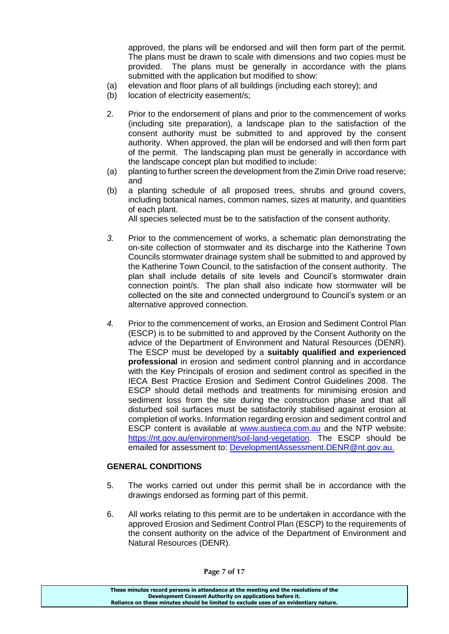approved, the plans will be endorsed and will then form part of the permit. The plans must be drawn to scale with dimensions and two copies must be provided. The plans must be generally in accordance with the plans submitted with the application but modified to show:

- (a) elevation and floor plans of all buildings (including each storey); and
- (b) location of electricity easement/s;
- 2. Prior to the endorsement of plans and prior to the commencement of works (including site preparation), a landscape plan to the satisfaction of the consent authority must be submitted to and approved by the consent authority. When approved, the plan will be endorsed and will then form part of the permit. The landscaping plan must be generally in accordance with the landscape concept plan but modified to include:
- (a) planting to further screen the development from the Zimin Drive road reserve; and
- (b) a planting schedule of all proposed trees, shrubs and ground covers, including botanical names, common names, sizes at maturity, and quantities of each plant.

All species selected must be to the satisfaction of the consent authority.

- *3.* Prior to the commencement of works, a schematic plan demonstrating the on-site collection of stormwater and its discharge into the Katherine Town Councils stormwater drainage system shall be submitted to and approved by the Katherine Town Council, to the satisfaction of the consent authority. The plan shall include details of site levels and Council's stormwater drain connection point/s. The plan shall also indicate how stormwater will be collected on the site and connected underground to Council's system or an alternative approved connection.
- *4.* Prior to the commencement of works, an Erosion and Sediment Control Plan (ESCP) is to be submitted to and approved by the Consent Authority on the advice of the Department of Environment and Natural Resources (DENR). The ESCP must be developed by a **suitably qualified and experienced professional** in erosion and sediment control planning and in accordance with the Key Principals of erosion and sediment control as specified in the IECA Best Practice Erosion and Sediment Control Guidelines 2008. The ESCP should detail methods and treatments for minimising erosion and sediment loss from the site during the construction phase and that all disturbed soil surfaces must be satisfactorily stabilised against erosion at completion of works. Information regarding erosion and sediment control and ESCP content is available at [www.austieca.com.au](http://www.austieca.com.au/) and the NTP website: [https://nt.gov.au/environment/soil-land-vegetation.](https://nt.gov.au/environment/soil-land-vegetation) The ESCP should be emailed for assessment to: [DevelopmentAssessment.DENR@nt.gov.au.](mailto:DevelopmentAssessment.DENR@nt.gov.au)

### **GENERAL CONDITIONS**

- 5. The works carried out under this permit shall be in accordance with the drawings endorsed as forming part of this permit.
- 6. All works relating to this permit are to be undertaken in accordance with the approved Erosion and Sediment Control Plan (ESCP) to the requirements of the consent authority on the advice of the Department of Environment and Natural Resources (DENR).

**These minutes record persons in attendance at the meeting and the resolutions of the Development Consent Authority on applications before it. Reliance on these minutes should be limited to exclude uses of an evidentiary nature.**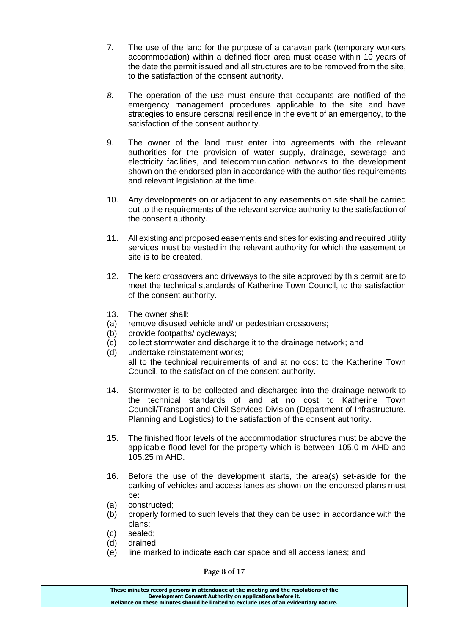- 7. The use of the land for the purpose of a caravan park (temporary workers accommodation) within a defined floor area must cease within 10 years of the date the permit issued and all structures are to be removed from the site, to the satisfaction of the consent authority.
- *8.* The operation of the use must ensure that occupants are notified of the emergency management procedures applicable to the site and have strategies to ensure personal resilience in the event of an emergency, to the satisfaction of the consent authority.
- 9. The owner of the land must enter into agreements with the relevant authorities for the provision of water supply, drainage, sewerage and electricity facilities, and telecommunication networks to the development shown on the endorsed plan in accordance with the authorities requirements and relevant legislation at the time.
- 10. Any developments on or adjacent to any easements on site shall be carried out to the requirements of the relevant service authority to the satisfaction of the consent authority.
- 11. All existing and proposed easements and sites for existing and required utility services must be vested in the relevant authority for which the easement or site is to be created.
- 12. The kerb crossovers and driveways to the site approved by this permit are to meet the technical standards of Katherine Town Council, to the satisfaction of the consent authority.
- 13. The owner shall:
- (a) remove disused vehicle and/ or pedestrian crossovers;
- (b) provide footpaths/ cycleways;
- (c) collect stormwater and discharge it to the drainage network; and
- (d) undertake reinstatement works; all to the technical requirements of and at no cost to the Katherine Town Council, to the satisfaction of the consent authority.
- 14. Stormwater is to be collected and discharged into the drainage network to the technical standards of and at no cost to Katherine Town Council/Transport and Civil Services Division (Department of Infrastructure, Planning and Logistics) to the satisfaction of the consent authority.
- 15. The finished floor levels of the accommodation structures must be above the applicable flood level for the property which is between 105.0 m AHD and 105.25 m AHD.
- 16. Before the use of the development starts, the area(*s*) set-aside for the parking of vehicles and access lanes as shown on the endorsed plans must be:
- (a) constructed;
- (b) properly formed to such levels that they can be used in accordance with the plans;
- (c) sealed;
- (d) drained;
- (e) line marked to indicate each car space and all access lanes; and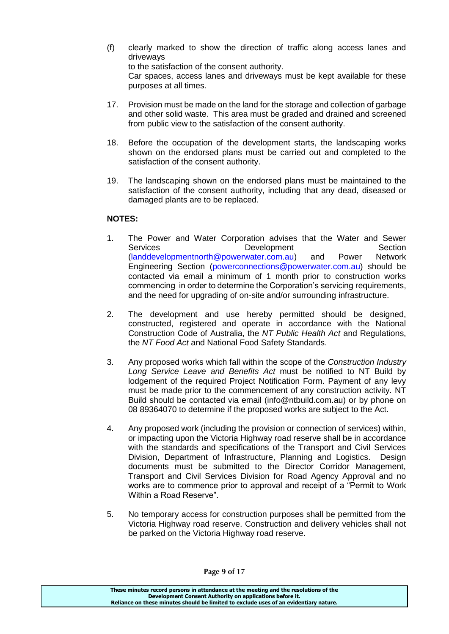(f) clearly marked to show the direction of traffic along access lanes and driveways to the satisfaction of the consent authority. Car spaces, access lanes and driveways must be kept available for these

purposes at all times.

- 17. Provision must be made on the land for the storage and collection of garbage and other solid waste. This area must be graded and drained and screened from public view to the satisfaction of the consent authority.
- 18. Before the occupation of the development starts, the landscaping works shown on the endorsed plans must be carried out and completed to the satisfaction of the consent authority.
- 19. The landscaping shown on the endorsed plans must be maintained to the satisfaction of the consent authority, including that any dead, diseased or damaged plants are to be replaced.

## **NOTES:**

- 1. The Power and Water Corporation advises that the Water and Sewer Services **Development** Section [\(landdevelopmentnorth@powerwater.com.au\)](mailto:landdevelopmentnorth@powerwater.com.au) and Power Network Engineering Section [\(powerconnections@powerwater.com.au\)](mailto:powerconnections@powerwater.com.au) should be contacted via email a minimum of 1 month prior to construction works commencing in order to determine the Corporation's servicing requirements, and the need for upgrading of on-site and/or surrounding infrastructure.
- 2. The development and use hereby permitted should be designed, constructed, registered and operate in accordance with the National Construction Code of Australia, the *NT Public Health Act* and Regulations, the *NT Food Act* and National Food Safety Standards.
- 3. Any proposed works which fall within the scope of the *Construction Industry Long Service Leave and Benefits Act* must be notified to NT Build by lodgement of the required Project Notification Form. Payment of any levy must be made prior to the commencement of any construction activity. NT Build should be contacted via email (info@ntbuild.com.au) or by phone on 08 89364070 to determine if the proposed works are subject to the Act.
- 4. Any proposed work (including the provision or connection of services) within, or impacting upon the Victoria Highway road reserve shall be in accordance with the standards and specifications of the Transport and Civil Services Division, Department of Infrastructure, Planning and Logistics. Design documents must be submitted to the Director Corridor Management, Transport and Civil Services Division for Road Agency Approval and no works are to commence prior to approval and receipt of a "Permit to Work Within a Road Reserve".
- 5. No temporary access for construction purposes shall be permitted from the Victoria Highway road reserve. Construction and delivery vehicles shall not be parked on the Victoria Highway road reserve.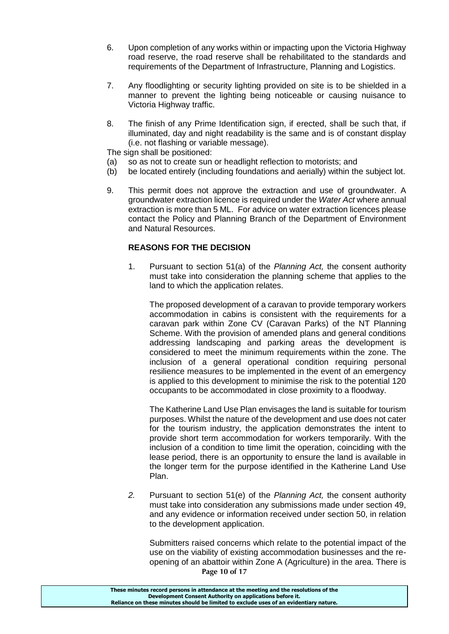- 6. Upon completion of any works within or impacting upon the Victoria Highway road reserve, the road reserve shall be rehabilitated to the standards and requirements of the Department of Infrastructure, Planning and Logistics.
- 7. Any floodlighting or security lighting provided on site is to be shielded in a manner to prevent the lighting being noticeable or causing nuisance to Victoria Highway traffic.
- 8. The finish of any Prime Identification sign, if erected, shall be such that, if illuminated, day and night readability is the same and is of constant display (i.e. not flashing or variable message).

The sign shall be positioned:

- (a) so as not to create sun or headlight reflection to motorists; and
- (b) be located entirely (including foundations and aerially) within the subject lot.
- 9. This permit does not approve the extraction and use of groundwater. A groundwater extraction licence is required under the *Water Act* where annual extraction is more than 5 ML. For advice on water extraction licences please contact the Policy and Planning Branch of the Department of Environment and Natural Resources.

### **REASONS FOR THE DECISION**

1. Pursuant to section 51(a) of the *Planning Act,* the consent authority must take into consideration the planning scheme that applies to the land to which the application relates.

The proposed development of a caravan to provide temporary workers accommodation in cabins is consistent with the requirements for a caravan park within Zone CV (Caravan Parks) of the NT Planning Scheme. With the provision of amended plans and general conditions addressing landscaping and parking areas the development is considered to meet the minimum requirements within the zone. The inclusion of a general operational condition requiring personal resilience measures to be implemented in the event of an emergency is applied to this development to minimise the risk to the potential 120 occupants to be accommodated in close proximity to a floodway.

The Katherine Land Use Plan envisages the land is suitable for tourism purposes. Whilst the nature of the development and use does not cater for the tourism industry, the application demonstrates the intent to provide short term accommodation for workers temporarily. With the inclusion of a condition to time limit the operation, coinciding with the lease period, there is an opportunity to ensure the land is available in the longer term for the purpose identified in the Katherine Land Use Plan.

*2.* Pursuant to section 51(e) of the *Planning Act,* the consent authority must take into consideration any submissions made under section 49, and any evidence or information received under section 50, in relation to the development application.

**Page 10 of 17** Submitters raised concerns which relate to the potential impact of the use on the viability of existing accommodation businesses and the reopening of an abattoir within Zone A (Agriculture) in the area. There is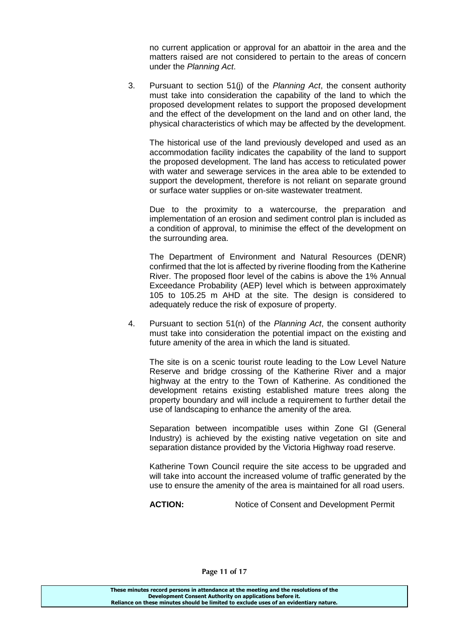no current application or approval for an abattoir in the area and the matters raised are not considered to pertain to the areas of concern under the *Planning Act*.

3. Pursuant to section 51(j) of the *Planning Act*, the consent authority must take into consideration the capability of the land to which the proposed development relates to support the proposed development and the effect of the development on the land and on other land, the physical characteristics of which may be affected by the development.

The historical use of the land previously developed and used as an accommodation facility indicates the capability of the land to support the proposed development. The land has access to reticulated power with water and sewerage services in the area able to be extended to support the development, therefore is not reliant on separate ground or surface water supplies or on-site wastewater treatment.

Due to the proximity to a watercourse, the preparation and implementation of an erosion and sediment control plan is included as a condition of approval, to minimise the effect of the development on the surrounding area.

The Department of Environment and Natural Resources (DENR) confirmed that the lot is affected by riverine flooding from the Katherine River. The proposed floor level of the cabins is above the 1% Annual Exceedance Probability (AEP) level which is between approximately 105 to 105.25 m AHD at the site. The design is considered to adequately reduce the risk of exposure of property.

4. Pursuant to section 51(n) of the *Planning Act*, the consent authority must take into consideration the potential impact on the existing and future amenity of the area in which the land is situated.

The site is on a scenic tourist route leading to the Low Level Nature Reserve and bridge crossing of the Katherine River and a major highway at the entry to the Town of Katherine. As conditioned the development retains existing established mature trees along the property boundary and will include a requirement to further detail the use of landscaping to enhance the amenity of the area.

Separation between incompatible uses within Zone GI (General Industry) is achieved by the existing native vegetation on site and separation distance provided by the Victoria Highway road reserve.

Katherine Town Council require the site access to be upgraded and will take into account the increased volume of traffic generated by the use to ensure the amenity of the area is maintained for all road users.

**ACTION:** Notice of Consent and Development Permit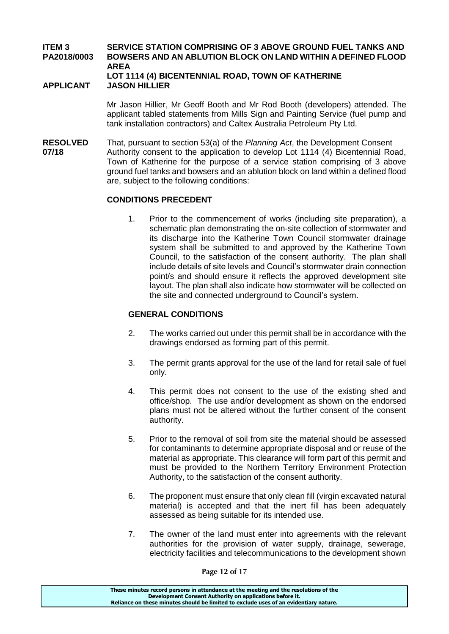#### **ITEM 3 SERVICE STATION COMPRISING OF 3 ABOVE GROUND FUEL TANKS AND PA2018/0003 BOWSERS AND AN ABLUTION BLOCK ON LAND WITHIN A DEFINED FLOOD AREA LOT 1114 (4) BICENTENNIAL ROAD, TOWN OF KATHERINE**

#### **APPLICANT JASON HILLIER**

Mr Jason Hillier, Mr Geoff Booth and Mr Rod Booth (developers) attended. The applicant tabled statements from Mills Sign and Painting Service (fuel pump and tank installation contractors) and Caltex Australia Petroleum Pty Ltd.

**RESOLVED** That, pursuant to section 53(a) of the *Planning Act*, the Development Consent **07/18** Authority consent to the application to develop Lot 1114 (4) Bicentennial Road, Town of Katherine for the purpose of a service station comprising of 3 above ground fuel tanks and bowsers and an ablution block on land within a defined flood are, subject to the following conditions:

#### **CONDITIONS PRECEDENT**

1. Prior to the commencement of works (including site preparation), a schematic plan demonstrating the on-site collection of stormwater and its discharge into the Katherine Town Council stormwater drainage system shall be submitted to and approved by the Katherine Town Council, to the satisfaction of the consent authority. The plan shall include details of site levels and Council's stormwater drain connection point/s and should ensure it reflects the approved development site layout. The plan shall also indicate how stormwater will be collected on the site and connected underground to Council's system.

#### **GENERAL CONDITIONS**

- 2. The works carried out under this permit shall be in accordance with the drawings endorsed as forming part of this permit.
- 3. The permit grants approval for the use of the land for retail sale of fuel only.
- 4. This permit does not consent to the use of the existing shed and office/shop. The use and/or development as shown on the endorsed plans must not be altered without the further consent of the consent authority.
- 5. Prior to the removal of soil from site the material should be assessed for contaminants to determine appropriate disposal and or reuse of the material as appropriate. This clearance will form part of this permit and must be provided to the Northern Territory Environment Protection Authority, to the satisfaction of the consent authority.
- 6. The proponent must ensure that only clean fill (virgin excavated natural material) is accepted and that the inert fill has been adequately assessed as being suitable for its intended use.
- 7. The owner of the land must enter into agreements with the relevant authorities for the provision of water supply, drainage, sewerage, electricity facilities and telecommunications to the development shown

**Page 12 of 17**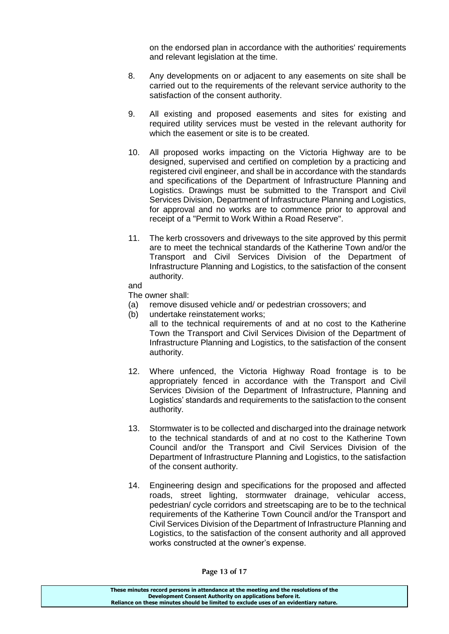on the endorsed plan in accordance with the authorities' requirements and relevant legislation at the time.

- 8. Any developments on or adjacent to any easements on site shall be carried out to the requirements of the relevant service authority to the satisfaction of the consent authority.
- 9. All existing and proposed easements and sites for existing and required utility services must be vested in the relevant authority for which the easement or site is to be created.
- 10. All proposed works impacting on the Victoria Highway are to be designed, supervised and certified on completion by a practicing and registered civil engineer, and shall be in accordance with the standards and specifications of the Department of Infrastructure Planning and Logistics. Drawings must be submitted to the Transport and Civil Services Division, Department of Infrastructure Planning and Logistics, for approval and no works are to commence prior to approval and receipt of a "Permit to Work Within a Road Reserve".
- 11. The kerb crossovers and driveways to the site approved by this permit are to meet the technical standards of the Katherine Town and/or the Transport and Civil Services Division of the Department of Infrastructure Planning and Logistics, to the satisfaction of the consent authority.
- and

The owner shall:

- (a) remove disused vehicle and/ or pedestrian crossovers; and
- (b) undertake reinstatement works;
	- all to the technical requirements of and at no cost to the Katherine Town the Transport and Civil Services Division of the Department of Infrastructure Planning and Logistics, to the satisfaction of the consent authority.
- 12. Where unfenced, the Victoria Highway Road frontage is to be appropriately fenced in accordance with the Transport and Civil Services Division of the Department of Infrastructure, Planning and Logistics' standards and requirements to the satisfaction to the consent authority.
- 13. Stormwater is to be collected and discharged into the drainage network to the technical standards of and at no cost to the Katherine Town Council and/or the Transport and Civil Services Division of the Department of Infrastructure Planning and Logistics, to the satisfaction of the consent authority.
- 14. Engineering design and specifications for the proposed and affected roads, street lighting, stormwater drainage, vehicular access, pedestrian/ cycle corridors and streetscaping are to be to the technical requirements of the Katherine Town Council and/or the Transport and Civil Services Division of the Department of Infrastructure Planning and Logistics, to the satisfaction of the consent authority and all approved works constructed at the owner's expense.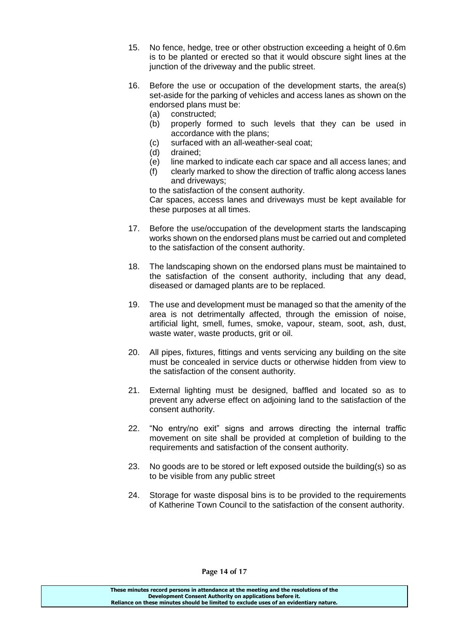- 15. No fence, hedge, tree or other obstruction exceeding a height of 0.6m is to be planted or erected so that it would obscure sight lines at the junction of the driveway and the public street.
- 16. Before the use or occupation of the development starts, the area(s) set-aside for the parking of vehicles and access lanes as shown on the endorsed plans must be:
	- (a) constructed;
	- (b) properly formed to such levels that they can be used in accordance with the plans;
	- (c) surfaced with an all-weather-seal coat;
	- (d) drained;
	- (e) line marked to indicate each car space and all access lanes; and
	- (f) clearly marked to show the direction of traffic along access lanes and driveways;

to the satisfaction of the consent authority. Car spaces, access lanes and driveways must be kept available for these purposes at all times.

- 17. Before the use/occupation of the development starts the landscaping works shown on the endorsed plans must be carried out and completed to the satisfaction of the consent authority.
- 18. The landscaping shown on the endorsed plans must be maintained to the satisfaction of the consent authority, including that any dead, diseased or damaged plants are to be replaced.
- 19. The use and development must be managed so that the amenity of the area is not detrimentally affected, through the emission of noise, artificial light, smell, fumes, smoke, vapour, steam, soot, ash, dust, waste water, waste products, grit or oil.
- 20. All pipes, fixtures, fittings and vents servicing any building on the site must be concealed in service ducts or otherwise hidden from view to the satisfaction of the consent authority.
- 21. External lighting must be designed, baffled and located so as to prevent any adverse effect on adjoining land to the satisfaction of the consent authority.
- 22. "No entry/no exit" signs and arrows directing the internal traffic movement on site shall be provided at completion of building to the requirements and satisfaction of the consent authority.
- 23. No goods are to be stored or left exposed outside the building(s) so as to be visible from any public street
- 24. Storage for waste disposal bins is to be provided to the requirements of Katherine Town Council to the satisfaction of the consent authority.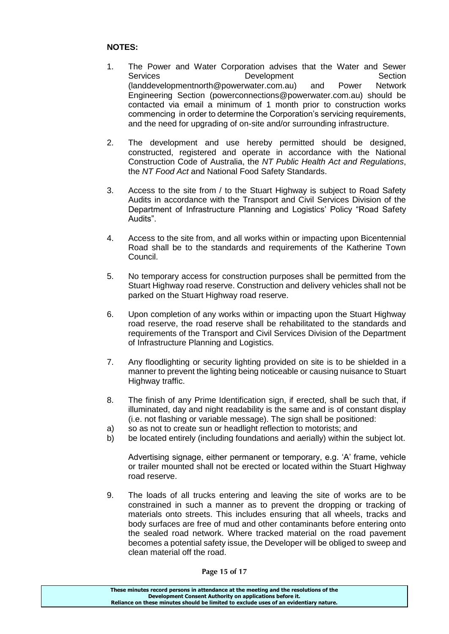### **NOTES:**

- 1. The Power and Water Corporation advises that the Water and Sewer Services **Development** Development Section (landdevelopmentnorth@powerwater.com.au) and Power Network Engineering Section (powerconnections@powerwater.com.au) should be contacted via email a minimum of 1 month prior to construction works commencing in order to determine the Corporation's servicing requirements, and the need for upgrading of on-site and/or surrounding infrastructure.
- 2. The development and use hereby permitted should be designed, constructed, registered and operate in accordance with the National Construction Code of Australia, the *NT Public Health Act and Regulations*, the *NT Food Act* and National Food Safety Standards.
- 3. Access to the site from / to the Stuart Highway is subject to Road Safety Audits in accordance with the Transport and Civil Services Division of the Department of Infrastructure Planning and Logistics' Policy "Road Safety Audits".
- 4. Access to the site from, and all works within or impacting upon Bicentennial Road shall be to the standards and requirements of the Katherine Town Council.
- 5. No temporary access for construction purposes shall be permitted from the Stuart Highway road reserve. Construction and delivery vehicles shall not be parked on the Stuart Highway road reserve.
- 6. Upon completion of any works within or impacting upon the Stuart Highway road reserve, the road reserve shall be rehabilitated to the standards and requirements of the Transport and Civil Services Division of the Department of Infrastructure Planning and Logistics.
- 7. Any floodlighting or security lighting provided on site is to be shielded in a manner to prevent the lighting being noticeable or causing nuisance to Stuart Highway traffic.
- 8. The finish of any Prime Identification sign, if erected, shall be such that, if illuminated, day and night readability is the same and is of constant display (i.e. not flashing or variable message). The sign shall be positioned:
- a) so as not to create sun or headlight reflection to motorists; and
- b) be located entirely (including foundations and aerially) within the subject lot.

Advertising signage, either permanent or temporary, e.g. 'A' frame, vehicle or trailer mounted shall not be erected or located within the Stuart Highway road reserve.

9. The loads of all trucks entering and leaving the site of works are to be constrained in such a manner as to prevent the dropping or tracking of materials onto streets. This includes ensuring that all wheels, tracks and body surfaces are free of mud and other contaminants before entering onto the sealed road network. Where tracked material on the road pavement becomes a potential safety issue, the Developer will be obliged to sweep and clean material off the road.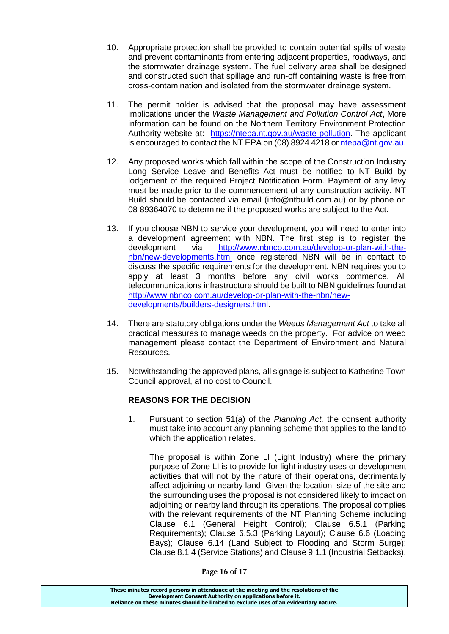- 10. Appropriate protection shall be provided to contain potential spills of waste and prevent contaminants from entering adjacent properties, roadways, and the stormwater drainage system. The fuel delivery area shall be designed and constructed such that spillage and run-off containing waste is free from cross-contamination and isolated from the stormwater drainage system.
- 11. The permit holder is advised that the proposal may have assessment implications under the *Waste Management and Pollution Control Act*, More information can be found on the Northern Territory Environment Protection Authority website at: [https://ntepa.nt.gov.au/waste-pollution.](https://ntepa.nt.gov.au/waste-pollution) The applicant is encouraged to contact the NT EPA on (08) 8924 4218 o[r ntepa@nt.gov.au.](mailto:ntepa@nt.gov.au)
- 12. Any proposed works which fall within the scope of the Construction Industry Long Service Leave and Benefits Act must be notified to NT Build by lodgement of the required Project Notification Form. Payment of any levy must be made prior to the commencement of any construction activity. NT Build should be contacted via email (info@ntbuild.com.au) or by phone on 08 89364070 to determine if the proposed works are subject to the Act.
- 13. If you choose NBN to service your development, you will need to enter into a development agreement with NBN. The first step is to register the development via [http://www.nbnco.com.au/develop-or-plan-with-the](http://www.nbnco.com.au/develop-or-plan-with-the-nbn/new-developments.html)[nbn/new-developments.html](http://www.nbnco.com.au/develop-or-plan-with-the-nbn/new-developments.html) once registered NBN will be in contact to discuss the specific requirements for the development. NBN requires you to apply at least 3 months before any civil works commence. All telecommunications infrastructure should be built to NBN guidelines found at [http://www.nbnco.com.au/develop-or-plan-with-the-nbn/new](http://www.nbnco.com.au/develop-or-plan-with-the-nbn/new-developments/builders-designers.html)[developments/builders-designers.html.](http://www.nbnco.com.au/develop-or-plan-with-the-nbn/new-developments/builders-designers.html)
- 14. There are statutory obligations under the *Weeds Management Act* to take all practical measures to manage weeds on the property. For advice on weed management please contact the Department of Environment and Natural Resources.
- 15. Notwithstanding the approved plans, all signage is subject to Katherine Town Council approval, at no cost to Council.

# **REASONS FOR THE DECISION**

1. Pursuant to section 51(a) of the *Planning Act,* the consent authority must take into account any planning scheme that applies to the land to which the application relates.

The proposal is within Zone LI (Light Industry) where the primary purpose of Zone LI is to provide for light industry uses or development activities that will not by the nature of their operations, detrimentally affect adjoining or nearby land. Given the location, size of the site and the surrounding uses the proposal is not considered likely to impact on adjoining or nearby land through its operations. The proposal complies with the relevant requirements of the NT Planning Scheme including Clause 6.1 (General Height Control); Clause 6.5.1 (Parking Requirements); Clause 6.5.3 (Parking Layout); Clause 6.6 (Loading Bays); Clause 6.14 (Land Subject to Flooding and Storm Surge); Clause 8.1.4 (Service Stations) and Clause 9.1.1 (Industrial Setbacks).